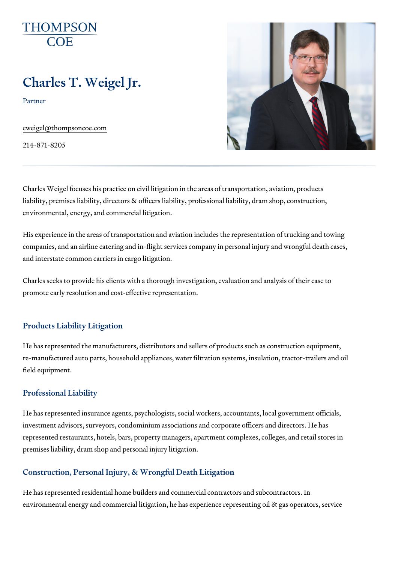# Charles T. Weigel Jr.

Partner

[cweigel@thompso](mailto:cweigel@thompsoncoe.com)ncoe.com

214-871-8205

Charles Weigel focuses his practice on civil litigation in the areas of trans liability, premises liability, directors & officers liability, professional liab environmental, energy, and commercial litigation.

His experience in the areas of transportation and aviation includes the rep companies, and an airline catering and in-flight services company in perso and interstate common carriers in cargo litigation.

Charles seeks to provide his clients with a thorough investigation, evaluat promote early resolution and cost-effective representation.

## Products Liability Litigation

He has represented the manufacturers, distributors and sellers of products re-manufactured auto parts, household appliances, water filtration systems field equipment.

## Professional Liability

He has represented insurance agents, psychologists, social workers, account investment advisors, surveyors, condominium associations and corporate o represented restaurants, hotels, bars, property managers, apartment comp premises liability, dram shop and personal injury litigation.

# Construction, Personal Injury, & Wrongful Death Litigation

He has represented residential home builders and commercial contractors. environmental energy and commercial litigation, he has experience represe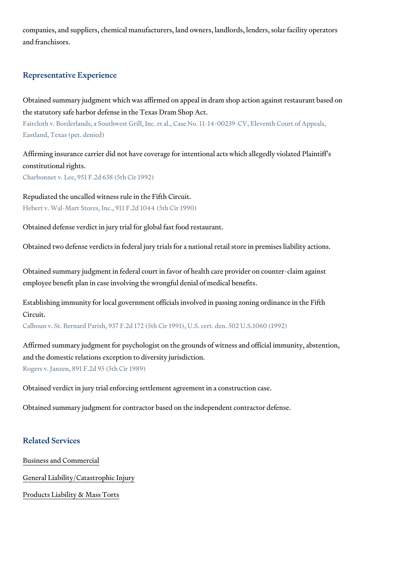companies, and suppliers, chemical manufacturers, land owners, landlords and franchisors.

#### Representative Experience

Obtained summary judgment which was affirmed on appeal in dram shop ac the statutory safe harbor defense in the Texas Dram Shop Act. Faircloth v. Borderlands, a Southwest Grill, Inc. et al., Case No. 11-14-00239-C Eastland, Texas (pet. denied)

Affirming insurance carrier did not have coverage for intentional acts whic constitutional rights. Charbonnet v. Lee, 951 F.2d 638 (5th Cir 1992)

Repudiated the uncalled witness rule in the Fifth Circuit. Hebert v. Wal-Mart Stores, Inc., 911 F.2d 1044 (5th Cir 1990)

Obtained defense verdict in jury trial for global fast food restaurant.

Obtained two defense verdicts in federal jury trials for a national retail st

Obtained summary judgment in federal court in favor of health care provideremployee benefit plan in case involving the wrongful denial of medical ben

Establishing immunity for local government officials involved in passing zo Circuit.

Calhoun v. St. Bernard Parish, 937 F.2d 172 (5th Cir 1991), U.S. cert. den. 502

Affirmed summary judgment for psychologist on the grounds of witness and and the domestic relations exception to diversity jurisdiction. Rogers v. Janzen, 891 F.2d 95 (5th Cir 1989)

Obtained verdict in jury trial enforcing settlement agreement in a construc

Obtained summary judgment for contractor based on the independent contr

### Related Services

[Business and C](https://www.thompsoncoe.com/people/charles-t-weigel-jr/)ommercial

[General Liability/Catas](https://www.thompsoncoe.com/people/charles-t-weigel-jr/)trophic Injury

[Products Liability &](https://www.thompsoncoe.com/people/charles-t-weigel-jr/) Mass Torts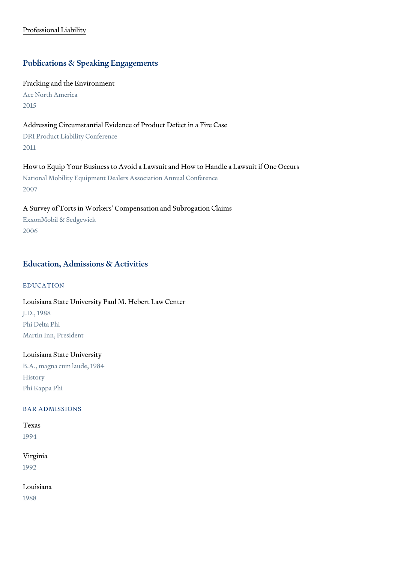[Professional](https://www.thompsoncoe.com/people/charles-t-weigel-jr/) Liability

# Publications & Speaking Engagements

Fracking and the Environment Ace North America 2015

Addressing Circumstantial Evidence of Product Defect in a Fire Case DRI Product Liability Conference 2011

How to Equip Your Business to Avoid a Lawsuit and How to Handle a Lawsu National Mobility Equipment Dealers Association Annual Conference 2007

A Survey of Torts in Workers Compensation and Subrogation Claims ExxonMobil & Sedgewick 2006

# Education, Admissions & Activities

#### EDUCATION

Louisiana State University Paul M. Hebert Law Center J.D., 1988 Phi Delta Phi Martin Inn, President

## Louisiana State University

B.A., magna cum laude, 1984 History Phi Kappa Phi

#### BAR ADMISSIONS

Texas 1994

# Virginia 1992

Louisiana 1988